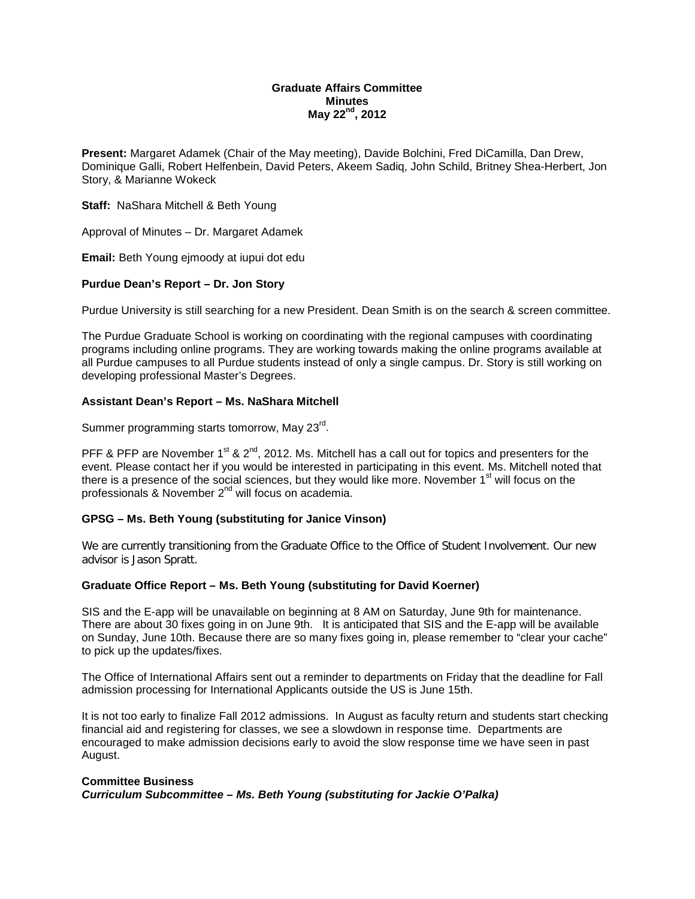### **Graduate Affairs Committee Minutes May 22nd, 2012**

**Present:** Margaret Adamek (Chair of the May meeting), Davide Bolchini, Fred DiCamilla, Dan Drew, Dominique Galli, Robert Helfenbein, David Peters, Akeem Sadiq, John Schild, Britney Shea-Herbert, Jon Story, & Marianne Wokeck

### **Staff:** NaShara Mitchell & Beth Young

Approval of Minutes – Dr. Margaret Adamek

**Email:** Beth Young ejmoody at iupui dot edu

# **Purdue Dean's Report – Dr. Jon Story**

Purdue University is still searching for a new President. Dean Smith is on the search & screen committee.

The Purdue Graduate School is working on coordinating with the regional campuses with coordinating programs including online programs. They are working towards making the online programs available at all Purdue campuses to all Purdue students instead of only a single campus. Dr. Story is still working on developing professional Master's Degrees.

## **Assistant Dean's Report – Ms. NaShara Mitchell**

Summer programming starts tomorrow, May 23<sup>rd</sup>.

PFF & PFP are November  $1^{st}$  &  $2^{nd}$ , 2012. Ms. Mitchell has a call out for topics and presenters for the event. Please contact her if you would be interested in participating in this event. Ms. Mitchell noted that there is a presence of the social sciences, but they would like more. November 1<sup>st</sup> will focus on the professionals & November 2<sup>nd</sup> will focus on academia.

# **GPSG – Ms. Beth Young (substituting for Janice Vinson)**

We are currently transitioning from the Graduate Office to the Office of Student Involvement. Our new advisor is Jason Spratt.

### **Graduate Office Report – Ms. Beth Young (substituting for David Koerner)**

SIS and the E-app will be unavailable on beginning at 8 AM on Saturday, June 9th for maintenance. There are about 30 fixes going in on June 9th. It is anticipated that SIS and the E-app will be available on Sunday, June 10th. Because there are so many fixes going in, please remember to "clear your cache" to pick up the updates/fixes.

The Office of International Affairs sent out a reminder to departments on Friday that the deadline for Fall admission processing for International Applicants outside the US is June 15th.

It is not too early to finalize Fall 2012 admissions. In August as faculty return and students start checking financial aid and registering for classes, we see a slowdown in response time. Departments are encouraged to make admission decisions early to avoid the slow response time we have seen in past August.

### **Committee Business**

*Curriculum Subcommittee – Ms. Beth Young (substituting for Jackie O'Palka)*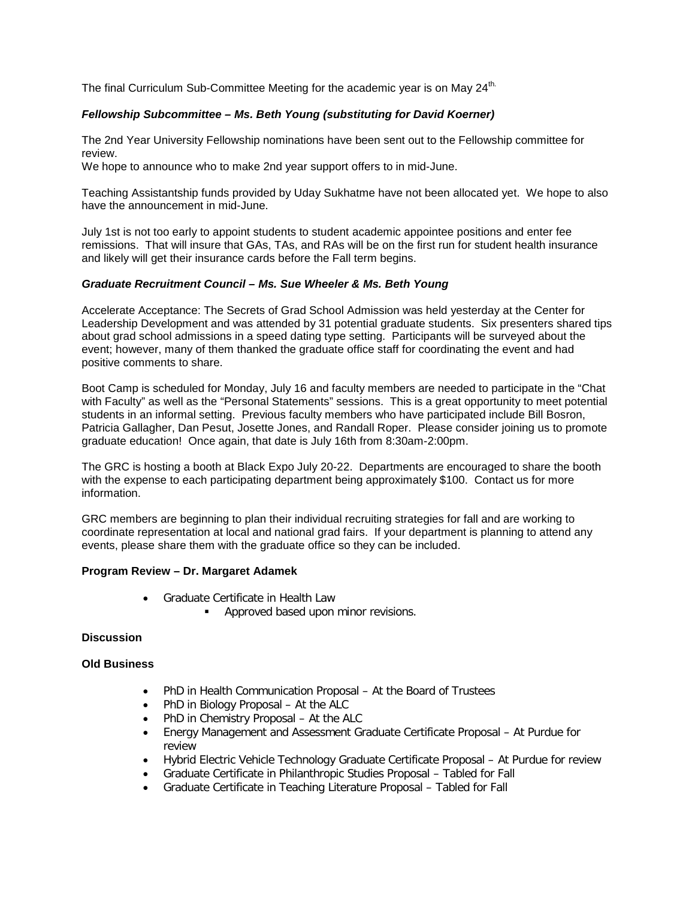The final Curriculum Sub-Committee Meeting for the academic year is on May  $24<sup>th</sup>$ .

## *Fellowship Subcommittee – Ms. Beth Young (substituting for David Koerner)*

The 2nd Year University Fellowship nominations have been sent out to the Fellowship committee for review.

We hope to announce who to make 2nd year support offers to in mid-June.

Teaching Assistantship funds provided by Uday Sukhatme have not been allocated yet. We hope to also have the announcement in mid-June.

July 1st is not too early to appoint students to student academic appointee positions and enter fee remissions. That will insure that GAs, TAs, and RAs will be on the first run for student health insurance and likely will get their insurance cards before the Fall term begins.

## *Graduate Recruitment Council – Ms. Sue Wheeler & Ms. Beth Young*

Accelerate Acceptance: The Secrets of Grad School Admission was held yesterday at the Center for Leadership Development and was attended by 31 potential graduate students. Six presenters shared tips about grad school admissions in a speed dating type setting. Participants will be surveyed about the event; however, many of them thanked the graduate office staff for coordinating the event and had positive comments to share.

Boot Camp is scheduled for Monday, July 16 and faculty members are needed to participate in the "Chat with Faculty" as well as the "Personal Statements" sessions. This is a great opportunity to meet potential students in an informal setting. Previous faculty members who have participated include Bill Bosron, Patricia Gallagher, Dan Pesut, Josette Jones, and Randall Roper. Please consider joining us to promote graduate education! Once again, that date is July 16th from 8:30am-2:00pm.

The GRC is hosting a booth at Black Expo July 20-22. Departments are encouraged to share the booth with the expense to each participating department being approximately \$100. Contact us for more information.

GRC members are beginning to plan their individual recruiting strategies for fall and are working to coordinate representation at local and national grad fairs. If your department is planning to attend any events, please share them with the graduate office so they can be included.

## **Program Review – Dr. Margaret Adamek**

- Graduate Certificate in Health Law
	- **Approved based upon minor revisions.**

### **Discussion**

### **Old Business**

- PhD in Health Communication Proposal At the Board of Trustees
- PhD in Biology Proposal At the ALC
- PhD in Chemistry Proposal At the ALC
- Energy Management and Assessment Graduate Certificate Proposal At Purdue for review
- Hybrid Electric Vehicle Technology Graduate Certificate Proposal At Purdue for review
- Graduate Certificate in Philanthropic Studies Proposal Tabled for Fall
- Graduate Certificate in Teaching Literature Proposal Tabled for Fall